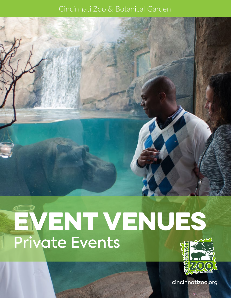#### Cincinnati Zoo & Botanical Garden

# EVENT VENUES Private Events



cincinnatizoo.org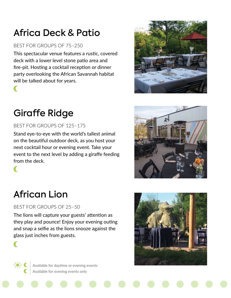## Africa Deck & Patio

#### BEST FOR GROUPS OF 75–250

This spectacular venue features a rustic, covered deck with a lower level stone patio area and fire-pit. Hosting a cocktail reception or dinner party overlooking the African Savannah habitat will be talked about for years.

### Giraffe Ridge

#### BEST FOR GROUPS OF 125–175

Stand eye-to-eye with the world's tallest animal on the beautiful outdoor deck, as you host your next cocktail hour or evening event. Take your event to the next level by adding a giraffe feeding from the deck.





### African Lion

BEST FOR GROUPS OF 25–50

The lions will capture your guests' attention as they play and pounce! Enjoy your evening outing and snap a selfie as the lions snooze against the glass just inches from guests.



Available for daytime or evening events Available for evening events only

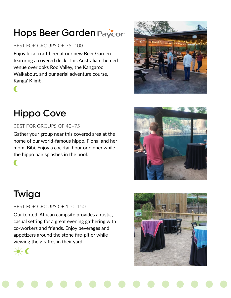## Hops Beer Garden Paycor

#### BEST FOR GROUPS OF 75–100

Enjoy local craft beer at our new Beer Garden featuring a covered deck. This Australian themed venue overlooks Roo Valley, the Kangaroo Walkabout, and our aerial adventure course, Kanga' Klimb.

### Hippo Cove

 $\blacksquare$ 

 $\blacksquare$ 

#### BEST FOR GROUPS OF 40–75

Gather your group near this covered area at the home of our world-famous hippo, Fiona, and her mom, Bibi. Enjoy a cocktail hour or dinner while the hippo pair splashes in the pool.



### Twiga

BEST FOR GROUPS OF 100–150

Our tented, African campsite provides a rustic, casual setting for a great evening gathering with co-workers and friends. Enjoy beverages and appetizers around the stone fire-pit or while viewing the giraffes in their yard.



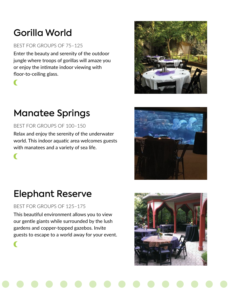## Gorilla World

#### BEST FOR GROUPS OF 75–125

Enter the beauty and serenity of the outdoor jungle where troops of gorillas will amaze you or enjoy the intimate indoor viewing with floor-to-ceiling glass.



 $\blacksquare$ 

### Manatee Springs

BEST FOR GROUPS OF 100–150

Relax and enjoy the serenity of the underwater world. This indoor aquatic area welcomes guests with manatees and a variety of sea life.





### Elephant Reserve

BEST FOR GROUPS OF 125–175

This beautiful environment allows you to view our gentle giants while surrounded by the lush gardens and copper-topped gazebos. Invite guests to escape to a world away for your event.

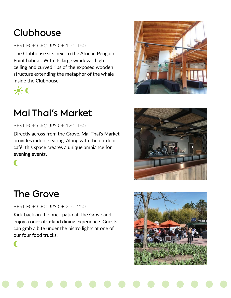# **Clubhouse**

#### BEST FOR GROUPS OF 100–150

The Clubhouse sits next to the African Penguin Point habitat. With its large windows, high ceiling and curved ribs of the exposed wooden structure extending the metaphor of the whale inside the Clubhouse.



 $\blacksquare$ 

 $\blacksquare$ 

### Mai Thai's Market

BEST FOR GROUPS OF 120–150

Directly across from the Grove, Mai Thai's Market provides indoor seating. Along with the outdoor café, this space creates a unique ambiance for evening events.





#### The Grove

BEST FOR GROUPS OF 200–250

Kick back on the brick patio at The Grove and enjoy a one- of-a-kind dining experience. Guests can grab a bite under the bistro lights at one of our four food trucks.

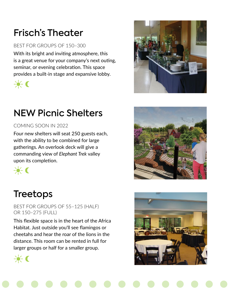# Frisch's Theater

#### BEST FOR GROUPS OF 150–300

With its bright and inviting atmosphere, this is a great venue for your company's next outing, seminar, or evening celebration. This space provides a built-in stage and expansive lobby.



### NEW Picnic Shelters

#### COMING SOON IN 2022

Four new shelters will seat 250 guests each, with the ability to be combined for large gatherings. An overlook deck will give a commanding view of *Elephant Trek* valley upon its completion.



#### Treetops

BEST FOR GROUPS OF 55–125 (HALF) OR 150–275 (FULL)

This flexible space is in the heart of the Africa Habitat. Just outside you'll see flamingos or cheetahs and hear the roar of the lions in the distance. This room can be rented in full for larger groups or half for a smaller group.